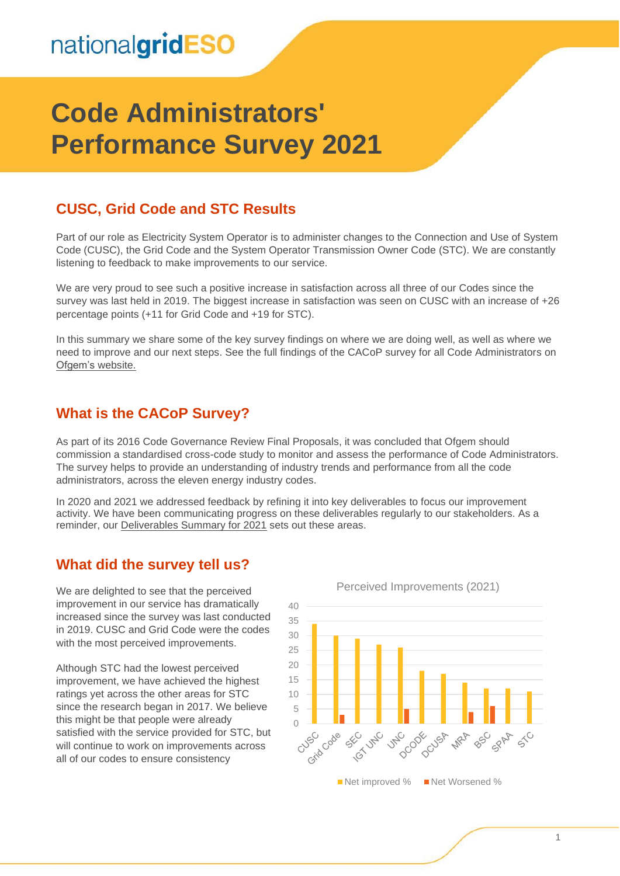# nationalgridESO

# **Code Administrators' Performance Survey 2021**

## **CUSC, Grid Code and STC Results**

Part of our role as Electricity System Operator is to administer changes to the Connection and Use of System Code (CUSC), the Grid Code and the System Operator Transmission Owner Code (STC). We are constantly listening to feedback to make improvements to our service.

We are very proud to see such a positive increase in satisfaction across all three of our Codes since the survey was last held in 2019. The biggest increase in satisfaction was seen on CUSC with an increase of +26 percentage points (+11 for Grid Code and +19 for STC).

In this summary we share some of the key survey findings on where we are doing well, as well as where we need to improve and our next steps. See the full findings of the CACoP survey for all Code Administrators on [Ofgem's website.](https://www.ofgem.gov.uk/publications/code-administrators-performance-survey-findings-2021)

### **What is the CACoP Survey?**

As part of its 2016 Code Governance Review Final Proposals, it was concluded that Ofgem should commission a standardised cross-code study to monitor and assess the performance of Code Administrators. The survey helps to provide an understanding of industry trends and performance from all the code administrators, across the eleven energy industry codes.

In 2020 and 2021 we addressed feedback by refining it into key deliverables to focus our improvement activity. We have been communicating progress on these deliverables regularly to our stakeholders. As a reminder, our [Deliverables Summary for 2021](https://urldefense.com/v3/__https:/subscribers.nationalgrid.co.uk/t/d-i-akytyud-l-r/__;!!B3hxM_NYsQ!msCyBC1rxPGLxajpfOYm2JbugbWdIiNi3x3JXpW4fyXzeiTg7ftGPNgWzruzTnrj-jltsJ9ertw$) sets out these areas.

### **What did the survey tell us?**

We are delighted to see that the perceived improvement in our service has dramatically increased since the survey was last conducted in 2019. CUSC and Grid Code were the codes with the most perceived improvements.

Although STC had the lowest perceived improvement, we have achieved the highest ratings yet across the other areas for STC since the research began in 2017. We believe this might be that people were already satisfied with the service provided for STC, but will continue to work on improvements across all of our codes to ensure consistency

Perceived Improvements (2021)

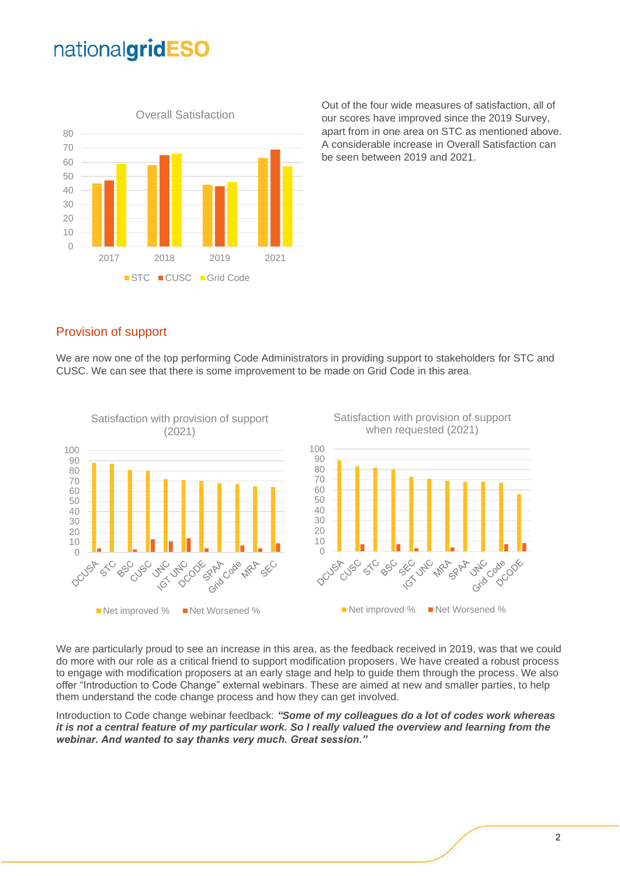# nationalgridESO



Out of the four wide measures of satisfaction, all of our scores have improved since the 2019 Survey, apart from in one area on STC as mentioned above. A considerable increase in Overall Satisfaction can be seen between 2019 and 2021.

#### Provision of support

We are now one of the top performing Code Administrators in providing support to stakeholders for STC and CUSC. We can see that there is some improvement to be made on Grid Code in this area.



We are particularly proud to see an increase in this area, as the feedback received in 2019, was that we could do more with our role as a critical friend to support modification proposers. We have created a robust process to engage with modification proposers at an early stage and help to guide them through the process. We also offer "Introduction to Code Change" external webinars. These are aimed at new and smaller parties, to help them understand the code change process and how they can get involved.

Introduction to Code change webinar feedback: *"Some of my colleagues do a lot of codes work whereas it is not a central feature of my particular work. So I really valued the overview and learning from the webinar. And wanted to say thanks very much. Great session."*